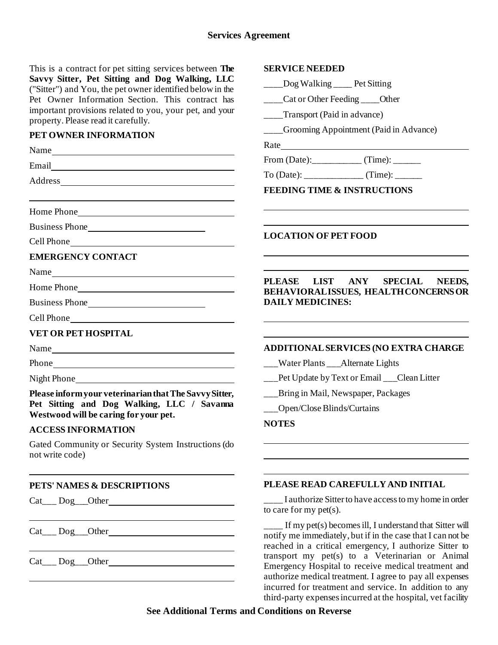# **Services Agreement**

This is a contract for pet sitting services **Savvy Sitter, Pet Sitting and Dog Walking** ("Sitter") and You, the pet owner identified Pet Owner Information Section. This important provisions related to you, your property. Please read it carefully.

## **PET OWNER INFORMATION**

| Name <sub>nt</sub> and the same of the same of the same of the same of the same of the same of the same of the same of the same of the same of the same of the same of the same of the same of the same of the same of the same of the s | $\mathbf{A}\mathbf{u}\mathbf{e}$               |
|------------------------------------------------------------------------------------------------------------------------------------------------------------------------------------------------------------------------------------------|------------------------------------------------|
| Email and the contract of the contract of the contract of the contract of the contract of the contract of the contract of the contract of the contract of the contract of the contract of the contract of the contract of the            | From $(D)$                                     |
|                                                                                                                                                                                                                                          | To (Date                                       |
|                                                                                                                                                                                                                                          | <b>FEEDII</b>                                  |
|                                                                                                                                                                                                                                          |                                                |
|                                                                                                                                                                                                                                          |                                                |
|                                                                                                                                                                                                                                          | <b>LOCAT</b>                                   |
| <b>EMERGENCY CONTACT</b>                                                                                                                                                                                                                 |                                                |
|                                                                                                                                                                                                                                          |                                                |
|                                                                                                                                                                                                                                          | <b>PLEAS</b><br><b>BEHAV</b>                   |
| Business Phone                                                                                                                                                                                                                           | <b>DAILY</b>                                   |
|                                                                                                                                                                                                                                          |                                                |
| <b>VET OR PET HOSPITAL</b>                                                                                                                                                                                                               |                                                |
| Name                                                                                                                                                                                                                                     | <b>ADDIT</b>                                   |
|                                                                                                                                                                                                                                          | $\sqrt{\phantom{a}}$ Wat                       |
|                                                                                                                                                                                                                                          | Pet I                                          |
| Please inform your veterinarian that The Savvy Sitter,                                                                                                                                                                                   | $\_\_Brin$                                     |
| Pet Sitting and Dog Walking, LLC / Savanna<br>Westwood will be caring for your pet.                                                                                                                                                      | $\_\_$ Ope                                     |
| <b>ACCESS INFORMATION</b>                                                                                                                                                                                                                | <b>NOTES</b>                                   |
| Gated Community or Security System Instructions (do<br>not write code)                                                                                                                                                                   |                                                |
| PETS' NAMES & DESCRIPTIONS                                                                                                                                                                                                               | <b>PLEAS</b>                                   |
|                                                                                                                                                                                                                                          | $\frac{1}{2}$ a<br>to care f                   |
|                                                                                                                                                                                                                                          | $\overline{\mathbf{f}}$<br>notify m<br>roachod |

## Cat\_\_\_ Dog\_\_\_Other

| s between <b>The</b><br>Valking, LLC<br>ed below in the<br>contract has<br>r pet, and your | <b>SERVICE NEEDED</b>                                                                                              |  |  |
|--------------------------------------------------------------------------------------------|--------------------------------------------------------------------------------------------------------------------|--|--|
|                                                                                            | Dog Walking Pet Sitting                                                                                            |  |  |
|                                                                                            | ____Cat or Other Feeding ____Other                                                                                 |  |  |
|                                                                                            | ___Transport (Paid in advance)                                                                                     |  |  |
|                                                                                            | ___Grooming Appointment (Paid in Advance)                                                                          |  |  |
|                                                                                            |                                                                                                                    |  |  |
|                                                                                            |                                                                                                                    |  |  |
|                                                                                            |                                                                                                                    |  |  |
|                                                                                            | <b>FEEDING TIME &amp; INSTRUCTIONS</b>                                                                             |  |  |
|                                                                                            |                                                                                                                    |  |  |
|                                                                                            | <b>LOCATION OF PET FOOD</b>                                                                                        |  |  |
|                                                                                            |                                                                                                                    |  |  |
|                                                                                            |                                                                                                                    |  |  |
|                                                                                            | LIST ANY<br><b>PLEASE</b><br><b>SPECIAL</b><br>NEEDS.                                                              |  |  |
|                                                                                            | <b>BEHAVIORALISSUES, HEALTH CONCERNS OR</b>                                                                        |  |  |
|                                                                                            | <b>DAILY MEDICINES:</b>                                                                                            |  |  |
|                                                                                            |                                                                                                                    |  |  |
|                                                                                            | <b>ADDITIONAL SERVICES (NO EXTRA CHARGE</b>                                                                        |  |  |
|                                                                                            | __Water Plants ___Alternate Lights                                                                                 |  |  |
|                                                                                            | __Pet Update by Text or Email __Clean Litter                                                                       |  |  |
| e Savvy Sitter,<br>$C /$ Savanna                                                           | __Bring in Mail, Newspaper, Packages                                                                               |  |  |
|                                                                                            | Open/Close Blinds/Curtains                                                                                         |  |  |
|                                                                                            | <b>NOTES</b>                                                                                                       |  |  |
| nstructions (do                                                                            |                                                                                                                    |  |  |
|                                                                                            |                                                                                                                    |  |  |
|                                                                                            |                                                                                                                    |  |  |
|                                                                                            | PLEASE READ CAREFULLY AND INITIAL                                                                                  |  |  |
|                                                                                            | I authorize Sitter to have access to my home in order<br>to care for my $pet(s)$ .                                 |  |  |
|                                                                                            | ____ If my pet(s) becomes ill, I understand that Sitter will<br>no immodiately but if in the case that Lean not be |  |  |

that Sitter will ne immediately, but if in the case that I can not be reached in a critical emergency, I authorize Sitter to transport my pet(s) to a Veterinarian or Animal Emergency Hospital to receive medical treatment and authorize medical treatment. I agree to pay all expenses incurred for treatment and service. In addition to any third-party expenses incurred at the hospital, vet facility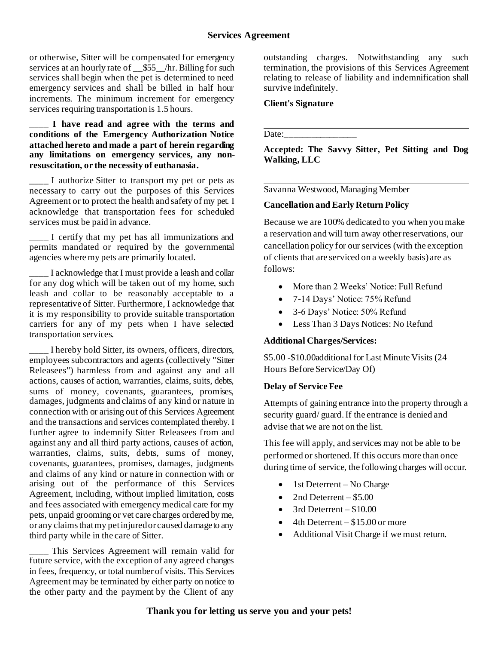or otherwise, Sitter will be compensated for emergency services at an hourly rate of  $\frac{$55}{10}$  /hr. Billing for such services shall begin when the pet is determined to need emergency services and shall be billed in half hour increments. The minimum increment for emergency services requiring transportation is 1.5 hours.

#### \_\_\_\_ **I have read and agree with the terms and conditions of the Emergency Authorization Notice attached hereto and made a part of herein regarding any limitations on emergency services, any nonresuscitation, or the necessity of euthanasia.**

I authorize Sitter to transport my pet or pets as necessary to carry out the purposes of this Services Agreement or to protect the health and safety of my pet. I acknowledge that transportation fees for scheduled services must be paid in advance.

\_\_\_\_ I certify that my pet has all immunizations and permits mandated or required by the governmental agencies where my pets are primarily located.

\_\_\_\_ I acknowledge that I must provide a leash and collar for any dog which will be taken out of my home, such leash and collar to be reasonably acceptable to a representative of Sitter. Furthermore, I acknowledge that it is my responsibility to provide suitable transportation carriers for any of my pets when I have selected transportation services.

\_\_\_\_ I hereby hold Sitter, its owners, officers, directors, employees subcontractors and agents (collectively "Sitter Releasees") harmless from and against any and all actions, causes of action, warranties, claims, suits, debts, sums of money, covenants, guarantees, promises, damages, judgments and claims of any kind or nature in connection with or arising out of this Services Agreement and the transactions and services contemplated thereby.I further agree to indemnify Sitter Releasees from and against any and all third party actions, causes of action, warranties, claims, suits, debts, sums of money, covenants, guarantees, promises, damages, judgments and claims of any kind or nature in connection with or arising out of the performance of this Services Agreement, including, without implied limitation, costs and fees associated with emergency medical care for my pets, unpaid grooming or vet care charges ordered by me, or any claims that my pet injured or caused damage to any third party while in the care of Sitter.

This Services Agreement will remain valid for future service, with the exception of any agreed changes in fees, frequency, or total number of visits. This Services Agreement may be terminated by either party on notice to the other party and the payment by the Client of any

outstanding charges. Notwithstanding any such termination, the provisions of this Services Agreement relating to release of liability and indemnification shall survive indefinitely.

### **Client's Signature**

Date:

**Accepted: The Savvy Sitter, Pet Sitting and Dog Walking, LLC**

Savanna Westwood, Managing Member

### **Cancellation and Early Return Policy**

Because we are 100% dedicated to you when you make a reservation and will turn away other reservations, our cancellation policy for our services (with the exception of clients that are serviced on a weekly basis) are as follows:

- More than 2 Weeks' Notice: Full Refund
- 7-14 Days' Notice: 75% Refund
- 3-6 Days' Notice: 50% Refund
- Less Than 3 Days Notices: No Refund

# **Additional Charges/Services:**

\$5.00 -\$10.00additional for Last Minute Visits (24 Hours Before Service/Day Of)

#### **Delay of Service Fee**

Attempts of gaining entrance into the property through a security guard/ guard. If the entrance is denied and advise that we are not on the list.

This fee will apply, and services may not be able to be performed or shortened. If this occurs more than once during time of service, the following charges will occur.

- 1st Deterrent No Charge
- 2nd Deterrent  $$5.00$
- $3rd$  Deterrent  $$10.00$
- $4th$  Deterrent \$15.00 or more
- Additional Visit Charge if we must return.